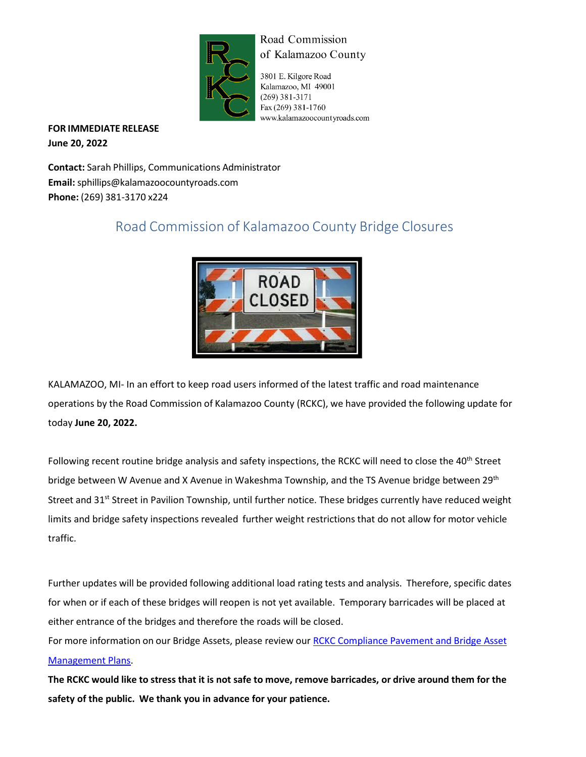

## Road Commission of Kalamazoo County

3801 E. Kilgore Road Kalamazoo, MI 49001  $(269)$  381-3171 Fax (269) 381-1760 www.kalamazoocountyroads.com

**FOR IMMEDIATE RELEASE June 20, 2022**

**Contact:** Sarah Phillips, Communications Administrator **Email:** [sphillips@kalamazoocountyroads.com](mailto:sphillips@kalamazoocountyroads.com) **Phone:** (269) 381-3170 x224

## Road Commission of Kalamazoo County Bridge Closures



KALAMAZOO, MI- In an effort to keep road users informed of the latest traffic and road maintenance operations by the Road Commission of Kalamazoo County (RCKC), we have provided the following update for today **June 20, 2022.**

Following recent routine bridge analysis and safety inspections, the RCKC will need to close the 40<sup>th</sup> Street bridge between W Avenue and X Avenue in Wakeshma Township, and the TS Avenue bridge between 29<sup>th</sup> Street and 31<sup>st</sup> Street in Pavilion Township, until further notice. These bridges currently have reduced weight limits and bridge safety inspections revealed further weight restrictions that do not allow for motor vehicle traffic.

Further updates will be provided following additional load rating tests and analysis. Therefore, specific dates for when or if each of these bridges will reopen is not yet available. Temporary barricades will be placed at either entrance of the bridges and therefore the roads will be closed.

For more information on our Bridge Assets, please review our RCKC [Compliance](https://www.kalamazoocountyroads.com/userfiles/kcrc/file/Asset%20Management/RCKC%20Compliance%20Pavement%20and%20Bridge%20Asset%20Management%20Plans%202020.pdf) Pavement and Bridge Asset [Management Plans.](https://www.kalamazoocountyroads.com/userfiles/kcrc/file/Asset%20Management/RCKC%20Compliance%20Pavement%20and%20Bridge%20Asset%20Management%20Plans%202020.pdf)

The RCKC would like to stress that it is not safe to move, remove barricades, or drive around them for the **safety of the public. We thank you in advance for your patience.**